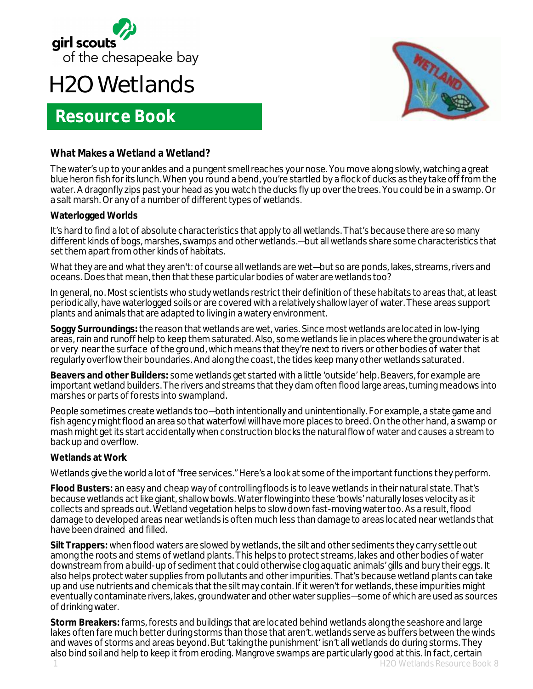

# **H2O Wetlands**

# **Resource Book**



# **What Makes a Wetland a Wetland?**

The water's up to your ankles and a pungent smell reaches your nose. You move along slowly, watching a great blue heron fish for its lunch. When you round a bend, you're startled by a flock of ducks as they take off from the water. A dragonfly zips past your head as you watch the ducks fly up over the trees. You could be in a swamp. Or a salt marsh. Or any of a number of different types of wetlands.

# **Waterlogged Worlds**

It's hard to find a lot of absolute characteristics that apply to all wetlands. That's because there are so many different kinds of bogs, marshes, swamps and other wetlands.—but all wetlands share some characteristics that set them apart from other kinds of habitats.

What they are and what they aren't: of course all wetlands are wet—but so are ponds, lakes, streams, rivers and oceans. Does that mean, then that these particular bodies of water are wetlands too?

In general, no. Most scientists who study wetlands restrict their definition of these habitats to areas that, at least periodically, have waterlogged soils or are covered with a relatively shallow layer of water. These areas support plants and animals that are adapted to living in a watery environment.

**Soggy Surroundings:** the reason that wetlands are wet, varies. Since most wetlands are located in low-lying areas, rain and runoff help to keep them saturated. Also, some wetlands lie in places where the groundwater is at or very near the surface of the ground, which means that they're next to rivers or other bodies of water that regularly overflow their boundaries. And along the coast, the tides keep many other wetlands saturated.

**Beavers and other Builders:** some wetlands get started with a little 'outside' help. Beavers, for example are important wetland builders. The rivers and streams that they dam often flood large areas, turning meadows into marshes or parts of forests into swampland.

People sometimes create wetlands too—both intentionally and unintentionally. For example, a state game and fish agency might flood an area so that waterfowl will have more places to breed. On the other hand, a swamp or mash might get its start accidentally when construction blocks the natural flow of water and causes a stream to back up and overflow.

# **Wetlands at Work**

Wetlands give the world a lot of "free services." Here's a look at some of the important functions they perform.

**Flood Busters:** an easy and cheap way of controlling floods is to leave wetlands in their natural state. That's because wetlands act like giant, shallow bowls. Water flowing into these 'bowls' naturally loses velocity as it collects and spreads out. Wetland vegetation helps to slow down fast-moving water too. As a result, flood damage to developed areas near wetlands is often much less than damage to areas located near wetlands that have been drained and filled.

**Silt Trappers:** when flood waters are slowed by wetlands, the silt and other sediments they carry settle out among the roots and stems of wetland plants. This helps to protect streams, lakes and other bodies of water downstream from a build-up of sediment that could otherwise clog aquatic animals' gills and bury their eggs. It also helps protect water supplies from pollutants and other impurities. That's because wetland plants can take up and use nutrients and chemicals that the silt may contain. If it weren't for wetlands, these impurities might eventually contaminate rivers, lakes, groundwater and other water supplies—some of which are used as sources of drinking water.

**Storm Breakers:** farms, forests and buildings that are located behind wetlands along the seashore and large lakes often fare much better during storms than those that aren't. wetlands serve as buffers between the winds and waves of storms and areas beyond. But 'taking the punishment' isn't all wetlands do during storms. They also bind soil and help to keep it from eroding. Mangrove swamps are particularly good at this. In fact, certain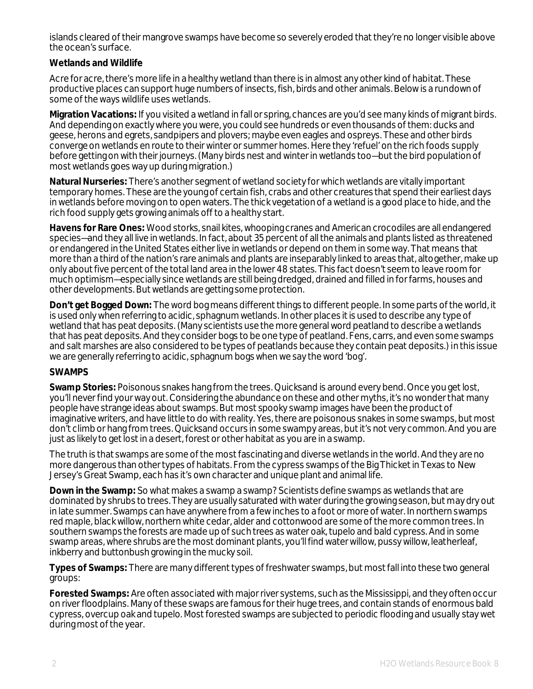islands cleared of their mangrove swamps have become so severely eroded that they're no longer visible above the ocean's surface.

# **Wetlands and Wildlife**

Acre for acre, there's more life in a healthy wetland than there is in almost any other kind of habitat. These productive places can support huge numbers of insects, fish, birds and other animals. Below is a rundown of some of the ways wildlife uses wetlands.

**Migration Vacations:** If you visited a wetland in fall or spring, chances are you'd see many kinds of migrant birds. And depending on exactly where you were, you could see hundreds or even thousands of them: ducks and geese, herons and egrets, sandpipers and plovers; maybe even eagles and ospreys. These and other birds converge on wetlands en route to their winter or summer homes. Here they 'refuel' on the rich foods supply before getting on with their journeys. (Many birds nest and winter in wetlands too—but the bird population of most wetlands goes way up during migration.)

**Natural Nurseries:** There's another segment of wetland society for which wetlands are vitally important temporary homes. These are the young of certain fish, crabs and other creatures that spend their earliest days in wetlands before moving on to open waters. The thick vegetation of a wetland is a good place to hide, and the rich food supply gets growing animals off to a healthy start.

**Havens for Rare Ones:** Wood storks, snail kites, whooping cranes and American crocodiles are all endangered species—and they all live in wetlands. In fact, about 35 percent of all the animals and plants listed as threatened or endangered in the United States either live in wetlands or depend on them in some way. That means that more than a third of the nation's rare animals and plants are inseparably linked to areas that, altogether, make up only about five percent of the total land area in the lower 48 states. This fact doesn't seem to leave room for much optimism—especially since wetlands are still being dredged, drained and filled in for farms, houses and other developments. But wetlands are getting some protection.

**Don't get Bogged Down:** The word bog means different things to different people. In some parts of the world, it is used only when referring to acidic, sphagnum wetlands. In other places it is used to describe any type of wetland that has peat deposits. (Many scientists use the more general word peatland to describe a wetlands that has peat deposits. And they consider bogs to be one type of peatland. Fens, carrs, and even some swamps and salt marshes are also considered to be types of peatlands because they contain peat deposits.) in this issue we are generally referring to acidic, sphagnum bogs when we say the word 'bog'.

# **SWAMPS**

**Swamp Stories:** Poisonous snakes hang from the trees. Quicksand is around every bend. Once you get lost, you'll never find your way out. Considering the abundance on these and other myths, it's no wonder that many people have strange ideas about swamps. But most spooky swamp images have been the product of imaginative writers, and have little to do with reality. Yes, there are poisonous snakes in some swamps, but most don't climb or hang from trees. Quicksand occurs in some swampy areas, but it's not very common. And you are just as likely to get lost in a desert, forest or other habitat as you are in a swamp.

The truth is that swamps are some of the most fascinating and diverse wetlands in the world. And they are no more dangerous than other types of habitats. From the cypress swamps of the Big Thicket in Texas to New Jersey's Great Swamp, each has it's own character and unique plant and animal life.

**Down in the Swamp:** So what makes a swamp a swamp? Scientists define swamps as wetlands that are dominated by shrubs to trees. They are usually saturated with water during the growing season, but may dry out in late summer. Swamps can have anywhere from a few inches to a foot or more of water. In northern swamps red maple, black willow, northern white cedar, alder and cottonwood are some of the more common trees. In southern swamps the forests are made up of such trees as water oak, tupelo and bald cypress. And in some swamp areas, where shrubs are the most dominant plants, you'll find water willow, pussy willow, leatherleaf, inkberry and buttonbush growing in the mucky soil.

**Types of Swamps:** There are many different types of freshwater swamps, but most fall into these two general groups:

**Forested Swamps:** Are often associated with major river systems, such as the Mississippi, and they often occur on river floodplains. Many of these swaps are famous for their huge trees, and contain stands of enormous bald cypress, overcup oak and tupelo. Most forested swamps are subjected to periodic flooding and usually stay wet during most of the year.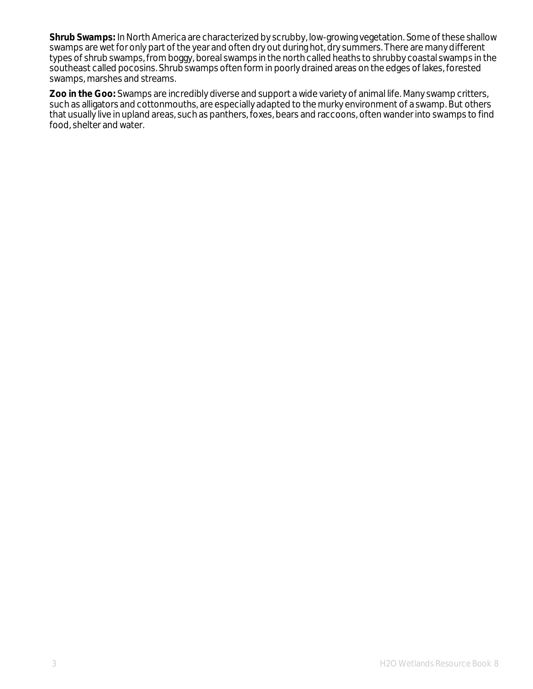**Shrub Swamps:** In North America are characterized by scrubby, low-growing vegetation. Some of these shallow swamps are wet for only part of the year and often dry out during hot, dry summers. There are many different types of shrub swamps, from boggy, boreal swamps in the north called heaths to shrubby coastal swamps in the southeast called pocosins. Shrub swamps often form in poorly drained areas on the edges of lakes, forested swamps, marshes and streams.

**Zoo in the Goo:** Swamps are incredibly diverse and support a wide variety of animal life. Many swamp critters, such as alligators and cottonmouths, are especially adapted to the murky environment of a swamp. But others that usually live in upland areas, such as panthers, foxes, bears and raccoons, often wander into swamps to find food, shelter and water.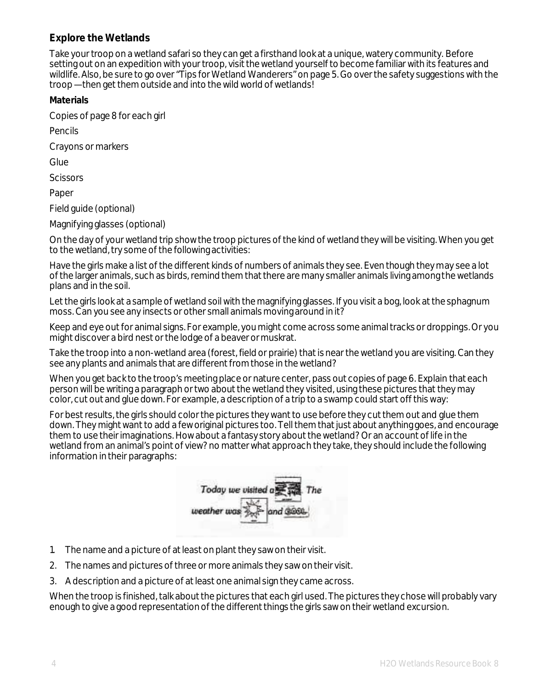# **Explore the Wetlands**

Take your troop on a wetland safari so they can get a firsthand look at a unique, watery community. Before setting out on an expedition with your troop, visit the wetland yourself to become familiar with its features and wildlife. Also, be sure to go over "Tips for Wetland Wanderers" on page 5. Go over the safety suggestions with the troop — then get them outside and into the wild world of wetlands!

# **Materials**

Copies of page 8 for each girl

Pencils

Crayons or markers

**Glue** 

**Scissors** 

Paper

Field guide (optional)

Magnifying glasses (optional)

On the day of your wetland trip show the troop pictures of the kind of wetland they will be visiting. When you get to the wetland, try some of the following activities:

Have the girls make a list of the different kinds of numbers of animals they see. Even though they may see a lot of the larger animals, such as birds, remind them that there are many smaller animals living among the wetlands plans and in the soil.

Let the girls look at a sample of wetland soil with the magnifying glasses. If you visit a bog, look at the sphagnum moss. Can you see any insects or other small animals moving around in it?

Keep and eye out for animal signs. For example, you might come across some animal tracks or droppings. Or you might discover a bird nest or the lodge of a beaver or muskrat.

Take the troop into a non-wetland area (forest, field or prairie) that is near the wetland you are visiting. Can they see any plants and animals that are different from those in the wetland?

When you get back to the troop's meeting place or nature center, pass out copies of page 6. Explain that each person will be writing a paragraph or two about the wetland they visited, using these pictures that they may color, cut out and glue down. For example, a description of a trip to a swamp could start off this way:

For best results, the girls should color the pictures they want to use before they cut them out and glue them down. They might want to add a few original pictures too. Tell them that just about anything goes, and encourage them to use their imaginations. How about a fantasy story about the wetland? Or an account of life in the wetland from an animal's point of view? no matter what approach they take, they should include the following information in their paragraphs:



- 1. The name and a picture of at least on plant they saw on their visit.
- 2. The names and pictures of three or more animals they saw on their visit.
- 3. A description and a picture of at least one animal sign they came across.

When the troop is finished, talk about the pictures that each girl used. The pictures they chose will probably vary enough to give a good representation of the different things the girls saw on their wetland excursion.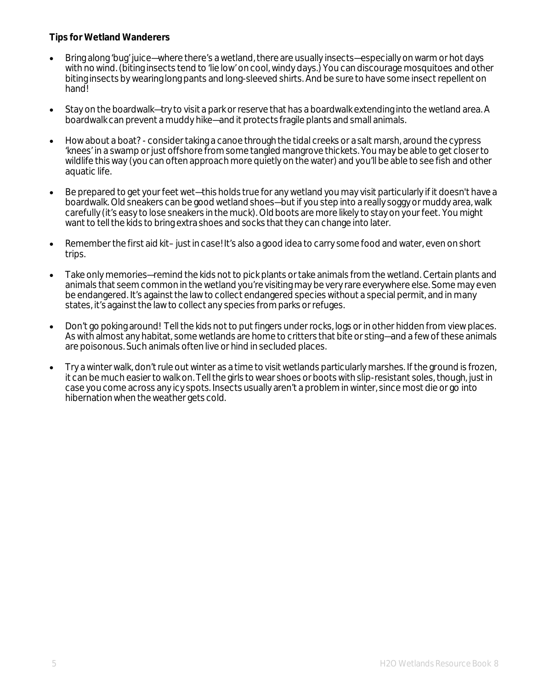# **Tips for Wetland Wanderers**

- Bring along 'bug' juice—where there's a wetland, there are usually insects—especially on warm or hot days with no wind. (biting insects tend to 'lie low' on cool, windy days.) You can discourage mosquitoes and other biting insects by wearing long pants and long-sleeved shirts. And be sure to have some insect repellent on hand!
- Stay on the boardwalk—try to visit a park or reserve that has a boardwalk extending into the wetland area. A boardwalk can prevent a muddy hike—and it protects fragile plants and small animals.
- How about a boat? consider taking a canoe through the tidal creeks or a salt marsh, around the cypress 'knees' in a swamp or just offshore from some tangled mangrove thickets. You may be able to get closer to wildlife this way (you can often approach more quietly on the water) and you'll be able to see fish and other aquatic life.
- Be prepared to get your feet wet—this holds true for any wetland you may visit particularly if it doesn't have a boardwalk. Old sneakers can be good wetland shoes—but if you step into a really soggy or muddy area, walk carefully (it's easy to lose sneakers in the muck). Old boots are more likely to stay on your feet. You might want to tell the kids to bring extra shoes and socks that they can change into later.
- Remember the first aid kit– just in case! It's also a good idea to carry some food and water, even on short trips.
- Take only memories—remind the kids not to pick plants or take animals from the wetland. Certain plants and animals that seem common in the wetland you're visiting may be very rare everywhere else. Some may even be endangered. It's against the law to collect endangered species without a special permit, and in many states, it's against the law to collect any species from parks or refuges.
- Don't go poking around! Tell the kids not to put fingers under rocks, logs or in other hidden from view places. As with almost any habitat, some wetlands are home to critters that bite or sting—and a few of these animals are poisonous. Such animals often live or hind in secluded places.
- Try a winter walk, don't rule out winter as a time to visit wetlands particularly marshes. If the ground is frozen, it can be much easier to walk on. Tell the girls to wear shoes or boots with slip-resistant soles, though, just in case you come across any icy spots. Insects usually aren't a problem in winter, since most die or go into hibernation when the weather gets cold.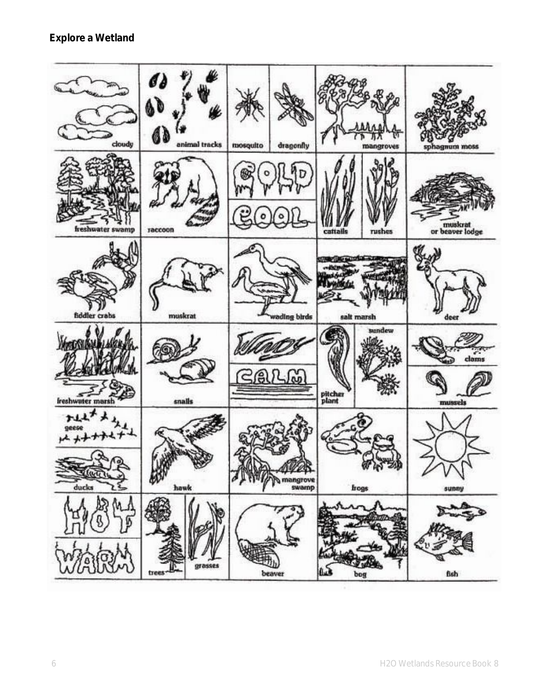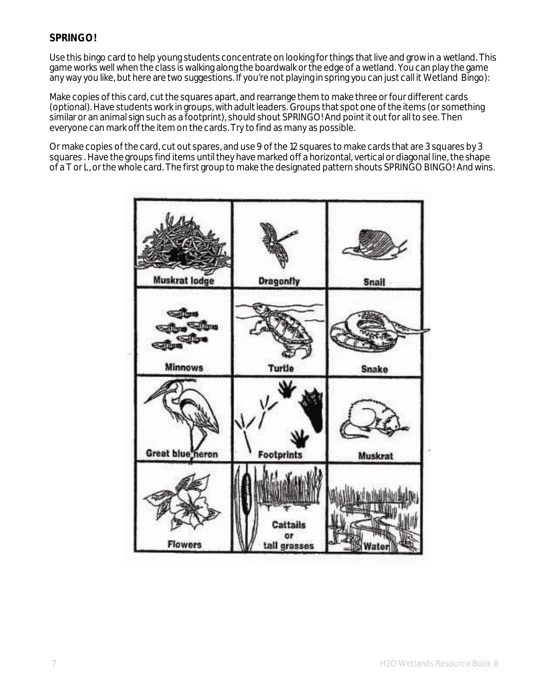# **SPRINGO!**

Use this bingo card to help young students concentrate on looking for things that live and grow in a wetland. This game works well when the class is walking along the boardwalk or the edge of a wetland. You can play the game any way you like, but here are two suggestions. If you're not playing in spring you can just call it Wetland Bingo):

Make copies of this card, cut the squares apart, and rearrange them to make three or four different cards (optional). Have students work in groups, with adult leaders. Groups that spot one of the items (or something similar or an animal sign such as a footprint), should shout SPRINGO! And point it out for all to see. Then everyone can mark off the item on the cards. Try to find as many as possible.

Or make copies of the card, cut out spares, and use 9 of the 12 squares to make cards that are 3 squares by 3 squares . Have the groups find items until they have marked off a horizontal, vertical or diagonal line, the shape of a T or L, or the whole card. The first group to make the designated pattern shouts SPRINGO BINGO! And wins.

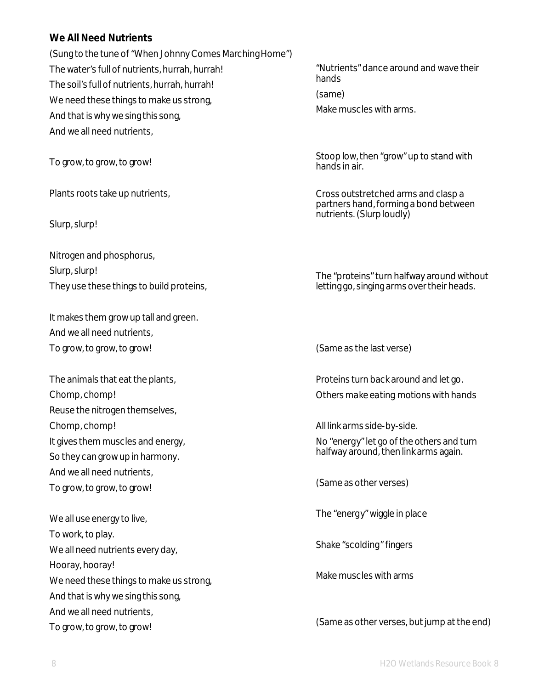# **We All Need Nutrients**

(Sung to the tune of "When Johnny Comes Marching Home") The water's full of nutrients, hurrah, hurrah! The soil's full of nutrients, hurrah, hurrah! We need these things to make us strong, And that is why we sing this song, And we all need nutrients,

To grow, to grow, to grow!

Plants roots take up nutrients,

Slurp, slurp!

Nitrogen and phosphorus, Slurp, slurp! They use these things to build proteins,

It makes them grow up tall and green. And we all need nutrients, To grow, to grow, to grow!

The animals that eat the plants, Chomp, chomp! Reuse the nitrogen themselves, Chomp, chomp! It gives them muscles and energy, So they can grow up in harmony. And we all need nutrients, To grow, to grow, to grow!

We all use energy to live, To work, to play. We all need nutrients every day, Hooray, hooray! We need these things to make us strong, And that is why we sing this song, And we all need nutrients, To grow, to grow, to grow!

"Nutrients" dance around and wave their hands (same)

Make muscles with arms.

Stoop low, then "grow" up to stand with hands in air.

Cross outstretched arms and clasp a partners hand, forming a bond between nutrients. (Slurp loudly)

The "*proteins*" turn halfway around without letting go, singing arms over their heads.

(Same as the last verse)

Proteins turn back around and let go. *Others make eating motions with hands*

*All link arms side-by-side.*

No "*energy"* let go of the others and turn halfway around, then link arms again.

(Same as other verses)

The "*energy"* wiggle in place

Shake "*scolding"* fingers

Make muscles with arms

(Same as other verses, but jump at the end)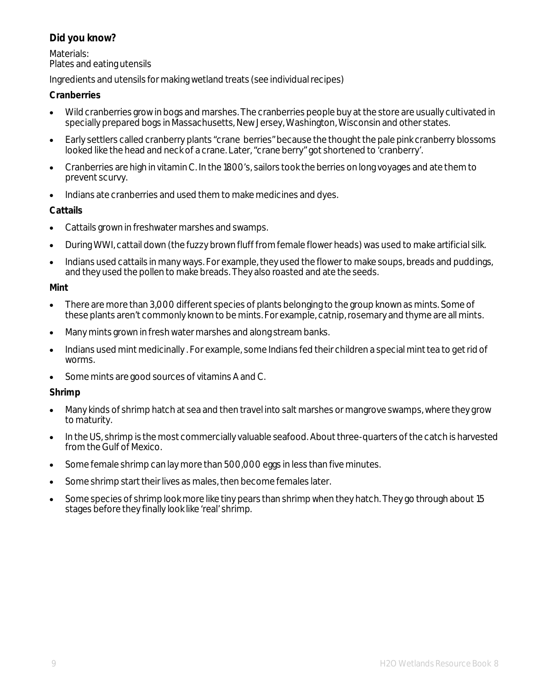# **Did you know?**

Materials: Plates and eating utensils

Ingredients and utensils for making wetland treats (see individual recipes)

# **Cranberries**

- Wild cranberries grow in bogs and marshes. The cranberries people buy at the store are usually cultivated in specially prepared bogs in Massachusetts, New Jersey, Washington, Wisconsin and other states.
- Early settlers called cranberry plants "crane berries" because the thought the pale pink cranberry blossoms looked like the head and neck of a crane. Later, "crane berry" got shortened to 'cranberry'.
- Cranberries are high in vitamin C. In the 1800's, sailors took the berries on long voyages and ate them to prevent scurvy.
- Indians ate cranberries and used them to make medicines and dyes.

# **Cattails**

- Cattails grown in freshwater marshes and swamps.
- During WWI, cattail down (the fuzzy brown fluff from female flower heads) was used to make artificial silk.
- Indians used cattails in many ways. For example, they used the flower to make soups, breads and puddings, and they used the pollen to make breads. They also roasted and ate the seeds.

# **Mint**

- There are more than 3,000 different species of plants belonging to the group known as mints. Some of these plants aren't commonly known to be mints. For example, catnip, rosemary and thyme are all mints.
- Many mints grown in fresh water marshes and along stream banks.
- Indians used mint medicinally . For example, some Indians fed their children a special mint tea to get rid of worms.
- Some mints are good sources of vitamins A and C.

# **Shrimp**

- Many kinds of shrimp hatch at sea and then travel into salt marshes or mangrove swamps, where they grow to maturity.
- In the US, shrimp is the most commercially valuable seafood. About three-quarters of the catch is harvested from the Gulf of Mexico.
- Some female shrimp can lay more than 500,000 eggs in less than five minutes.
- Some shrimp start their lives as males, then become females later.
- Some species of shrimp look more like tiny pears than shrimp when they hatch. They go through about 15 stages before they finally look like 'real' shrimp.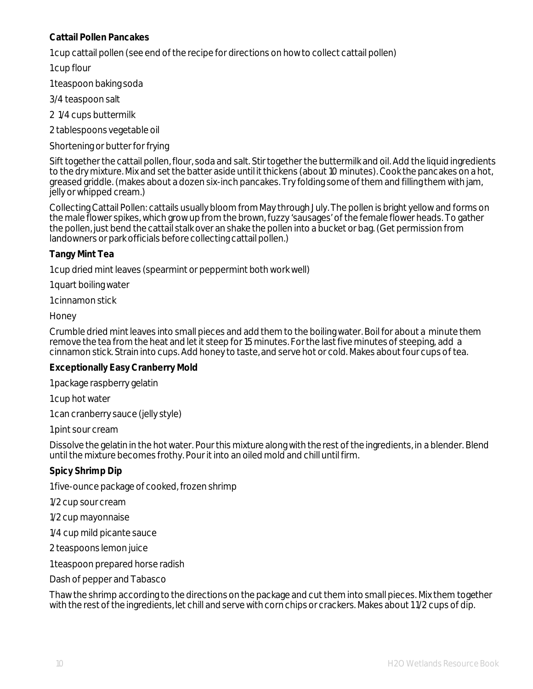# **Cattail Pollen Pancakes**

1 cup cattail pollen (see end of the recipe for directions on how to collect cattail pollen)

1 cup flour

1 teaspoon baking soda

3/4 teaspoon salt

2 1/4 cups buttermilk

2 tablespoons vegetable oil

Shortening or butter for frying

Sift together the cattail pollen, flour, soda and salt. Stir together the buttermilk and oil. Add the liquid ingredients to the dry mixture. Mix and set the batter aside until it thickens (about 10 minutes). Cook the pancakes on a hot, greased griddle. (makes about a dozen six-inch pancakes. Try folding some of them and filling them with jam, jelly or whipped cream.)

Collecting Cattail Pollen: cattails usually bloom from May through July. The pollen is bright yellow and forms on the male flower spikes, which grow up from the brown, fuzzy 'sausages' of the female flower heads. To gather the pollen, just bend the cattail stalk over an shake the pollen into a bucket or bag. (Get permission from landowners or park officials before collecting cattail pollen.)

# **Tangy Mint Tea**

1 cup dried mint leaves (spearmint or peppermint both work well)

1 quart boiling water

1 cinnamon stick

Honey

Crumble dried mint leaves into small pieces and add them to the boiling water. Boil for about a minute them remove the tea from the heat and let it steep for 15 minutes. For the last five minutes of steeping, add a cinnamon stick. Strain into cups. Add honey to taste, and serve hot or cold. Makes about four cups of tea.

# **Exceptionally Easy Cranberry Mold**

1 package raspberry gelatin

1 cup hot water

1 can cranberry sauce (jelly style)

1 pint sour cream

Dissolve the gelatin in the hot water. Pour this mixture along with the rest of the ingredients, in a blender. Blend until the mixture becomes frothy. Pour it into an oiled mold and chill until firm.

# **Spicy Shrimp Dip**

1 five-ounce package of cooked, frozen shrimp

1/2 cup sour cream

1/2 cup mayonnaise

1/4 cup mild picante sauce

2 teaspoons lemon juice

1 teaspoon prepared horse radish

Dash of pepper and Tabasco

Thaw the shrimp according to the directions on the package and cut them into small pieces. Mix them together with the rest of the ingredients, let chill and serve with corn chips or crackers. Makes about 11/2 cups of dip.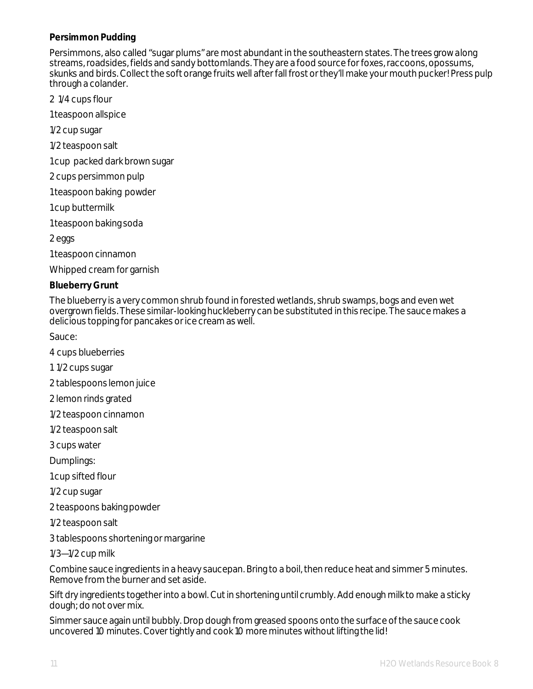# **Persimmon Pudding**

Persimmons, also called "sugar plums" are most abundant in the southeastern states. The trees grow along streams, roadsides, fields and sandy bottomlands. They are a food source for foxes, raccoons, opossums, skunks and birds. Collect the soft orange fruits well after fall frost or they'll make your mouth pucker! Press pulp through a colander.

2 1/4 cups flour

1 teaspoon allspice

1/2 cup sugar

1/2 teaspoon salt

1 cup packed dark brown sugar

2 cups persimmon pulp

1 teaspoon baking powder

1 cup buttermilk

1 teaspoon baking soda

2 eggs

1 teaspoon cinnamon

Whipped cream for garnish

# **Blueberry Grunt**

The blueberry is a very common shrub found in forested wetlands, shrub swamps, bogs and even wet overgrown fields. These similar-looking huckleberry can be substituted in this recipe. The sauce makes a delicious topping for pancakes or ice cream as well.

Sauce:

4 cups blueberries

1 1/2 cups sugar

2 tablespoons lemon juice

2 lemon rinds grated

1/2 teaspoon cinnamon

1/2 teaspoon salt

3 cups water

Dumplings:

1 cup sifted flour

1/2 cup sugar

2 teaspoons baking powder

1/2 teaspoon salt

3 tablespoons shortening or margarine

1/3—1/2 cup milk

Combine sauce ingredients in a heavy saucepan. Bring to a boil, then reduce heat and simmer 5 minutes. Remove from the burner and set aside.

Sift dry ingredients together into a bowl. Cut in shortening until crumbly. Add enough milk to make a sticky dough; do not over mix.

Simmer sauce again until bubbly. Drop dough from greased spoons onto the surface of the sauce cook uncovered 10 minutes. Cover tightly and cook 10 more minutes without lifting the lid!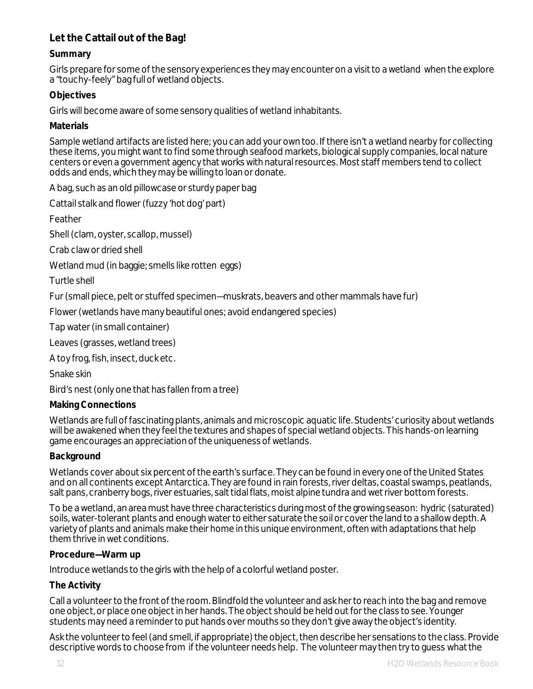# **Let the Cattail out of the Bag!**

# **Summary**

Girls prepare for some of the sensory experiences they may encounter on a visit to a wetland when the explore a "touchy-feely" bag full of wetland objects.

# **Objectives**

Girls will become aware of some sensory qualities of wetland inhabitants.

# **Materials**

Sample wetland artifacts are listed here; you can add your own too. If there isn't a wetland nearby for collecting these items, you might want to find some through seafood markets, biological supply companies, local nature centers or even a government agency that works with natural resources. Most staff members tend to collect odds and ends, which they may be willing to loan or donate.

A bag, such as an old pillowcase or sturdy paper bag

Cattail stalk and flower (fuzzy 'hot dog' part)

Feather

Shell (clam, oyster, scallop, mussel)

Crab claw or dried shell

Wetland mud (in baggie; smells like rotten eggs)

Turtle shell

Fur (small piece, pelt or stuffed specimen—muskrats, beavers and other mammals have fur)

Flower (wetlands have many beautiful ones; avoid endangered species)

Tap water (in small container)

Leaves (grasses, wetland trees)

A toy frog, fish, insect, duck etc.

Snake skin

Bird's nest (only one that has fallen from a tree)

# **Making Connections**

Wetlands are full of fascinating plants, animals and microscopic aquatic life. Students' curiosity about wetlands will be awakened when they feel the textures and shapes of special wetland objects. This hands-on learning game encourages an appreciation of the uniqueness of wetlands.

# **Background**

Wetlands cover about six percent of the earth's surface. They can be found in every one of the United States and on all continents except Antarctica. They are found in rain forests, river deltas, coastal swamps, peatlands, salt pans, cranberry bogs, river estuaries, salt tidal flats, moist alpine tundra and wet river bottom forests.

To be a wetland, an area must have three characteristics during most of the growing season: hydric (saturated) soils, water-tolerant plants and enough water to either saturate the soil or cover the land to a shallow depth. A variety of plants and animals make their home in this unique environment, often with adaptations that help them thrive in wet conditions.

#### **Procedure—Warm up**

Introduce wetlands to the girls with the help of a colorful wetland poster.

# **The Activity**

Call a volunteer to the front of the room. Blindfold the volunteer and ask her to reach into the bag and remove one object, or place one object in her hands. The object should be held out for the class to see. Younger students may need a reminder to put hands over mouths so they don't give away the object's identity.

Ask the volunteer to feel (and smell, if appropriate) the object, then describe her sensations to the class. Provide descriptive words to choose from if the volunteer needs help. The volunteer may then try to guess what the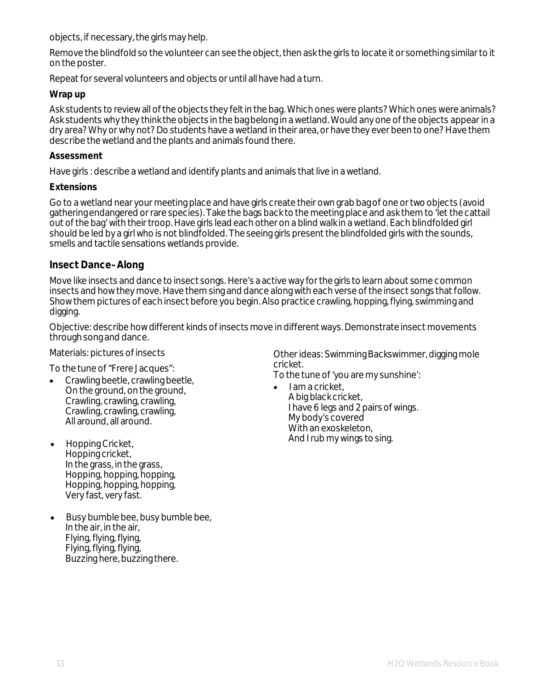objects, if necessary, the girls may help.

Remove the blindfold so the volunteer can see the object, then ask the girls to locate it or something similar to it on the poster.

Repeat for several volunteers and objects or until all have had a turn.

# **Wrap up**

Ask students to review all of the objects they felt in the bag. Which ones were plants? Which ones were animals? Ask students why they think the objects in the bag belong in a wetland. Would any one of the objects appear in a dry area? Why or why not? Do students have a wetland in their area, or have they ever been to one? Have them describe the wetland and the plants and animals found there.

# **Assessment**

Have girls : describe a wetland and identify plants and animals that live in a wetland.

# **Extensions**

Go to a wetland near your meeting place and have girls create their own grab bag of one or two objects (avoid gathering endangered or rare species). Take the bags back to the meeting place and ask them to 'let the cattail out of the bag' with their troop. Have girls lead each other on a blind walk in a wetland. Each blindfolded girl should be led by a girl who is not blindfolded. The seeing girls present the blindfolded girls with the sounds, smells and tactile sensations wetlands provide.

# **Insect Dance–Along**

Move like insects and dance to insect songs. Here's a active way for the girls to learn about some common insects and how they move. Have them sing and dance along with each verse of the insect songs that follow. Show them pictures of each insect before you begin. Also practice crawling, hopping, flying, swimming and digging.

Objective: describe how different kinds of insects move in different ways. Demonstrate insect movements through song and dance.

Materials: pictures of insects

To the tune of "Frere Jacques":

- Crawling beetle, crawling beetle, On the ground, on the ground, Crawling, crawling, crawling, Crawling, crawling, crawling, All around, all around.
- Hopping Cricket, Hopping cricket, In the grass, in the grass, Hopping, hopping, hopping, Hopping, hopping, hopping, Very fast, very fast.
- Busy bumble bee, busy bumble bee, In the air, in the air, Flying, flying, flying, Flying, flying, flying, Buzzing here, buzzing there.

Other ideas: Swimming Backswimmer, digging mole cricket.

To the tune of 'you are my sunshine':

 $\bullet$  lam a cricket, A big black cricket, I have 6 legs and 2 pairs of wings. My body's covered With an exoskeleton, And I rub my wings to sing.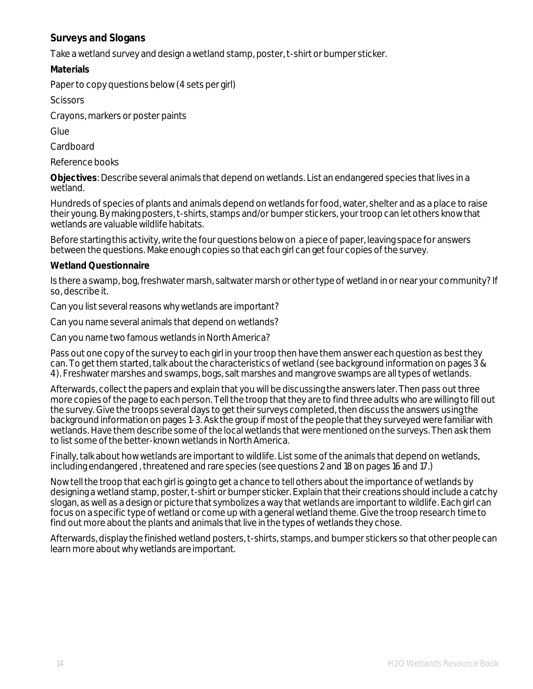# **Surveys and Slogans**

Take a wetland survey and design a wetland stamp, poster, t-shirt or bumper sticker.

# **Materials**

Paper to copy questions below (4 sets per girl)

**Scissors** 

Crayons, markers or poster paints

Glue

Cardboard

Reference books

**Objectives**: Describe several animals that depend on wetlands. List an endangered species that lives in a wetland.

Hundreds of species of plants and animals depend on wetlands for food, water, shelter and as a place to raise their young. By making posters, t-shirts, stamps and/or bumper stickers, your troop can let others know that wetlands are valuable wildlife habitats.

Before starting this activity, write the four questions below on a piece of paper, leaving space for answers between the questions. Make enough copies so that each girl can get four copies of the survey.

# **Wetland Questionnaire**

Is there a swamp, bog, freshwater marsh, saltwater marsh or other type of wetland in or near your community? If so, describe it.

Can you list several reasons why wetlands are important?

Can you name several animals that depend on wetlands?

Can you name two famous wetlands in North America?

Pass out one copy of the survey to each girl in your troop then have them answer each question as best they can. To get them started, talk about the characteristics of wetland (see background information on pages 3 & 4). Freshwater marshes and swamps, bogs, salt marshes and mangrove swamps are all types of wetlands.

Afterwards, collect the papers and explain that you will be discussing the answers later. Then pass out three more copies of the page to each person. Tell the troop that they are to find three adults who are willing to fill out the survey. Give the troops several days to get their surveys completed, then discuss the answers using the background information on pages 1-3. Ask the group if most of the people that they surveyed were familiar with wetlands. Have them describe some of the local wetlands that were mentioned on the surveys. Then ask them to list some of the better-known wetlands in North America.

Finally, talk about how wetlands are important to wildlife. List some of the animals that depend on wetlands, including endangered , threatened and rare species (see questions 2 and 18 on pages 16 and 17.)

Now tell the troop that each girl is going to get a chance to tell others about the importance of wetlands by designing a wetland stamp, poster, t-shirt or bumper sticker. Explain that their creations should include a catchy slogan, as well as a design or picture that symbolizes a way that wetlands are important to wildlife. Each girl can focus on a specific type of wetland or come up with a general wetland theme. Give the troop research time to find out more about the plants and animals that live in the types of wetlands they chose.

Afterwards, display the finished wetland posters, t-shirts, stamps, and bumper stickers so that other people can learn more about why wetlands are important.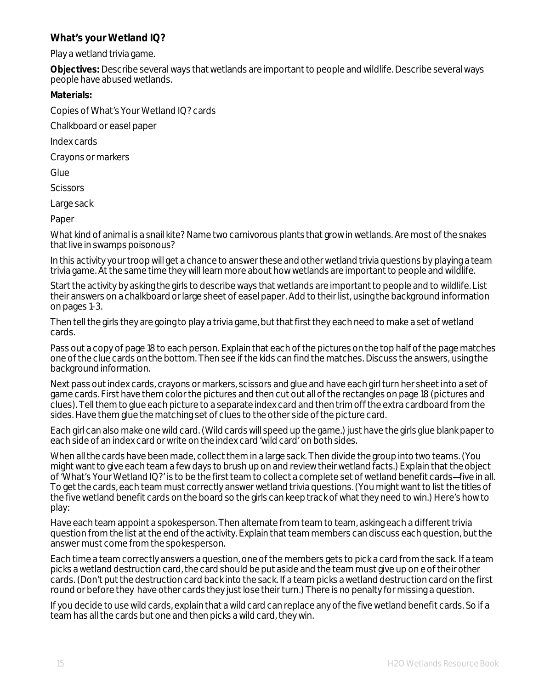# **What's your Wetland IQ?**

Play a wetland trivia game.

**Objectives:** Describe several ways that wetlands are important to people and wildlife. Describe several ways people have abused wetlands.

#### **Materials:**

Copies of What's Your Wetland IQ? cards

Chalkboard or easel paper

Index cards

Crayons or markers

**Glue** 

**Scissors** 

Large sack

Paper

What kind of animal is a snail kite? Name two carnivorous plants that grow in wetlands. Are most of the snakes that live in swamps poisonous?

In this activity your troop will get a chance to answer these and other wetland trivia questions by playing a team trivia game. At the same time they will learn more about how wetlands are important to people and wildlife.

Start the activity by asking the girls to describe ways that wetlands are important to people and to wildlife. List their answers on a chalkboard or large sheet of easel paper. Add to their list, using the background information on pages 1-3.

Then tell the girls they are going to play a trivia game, but that first they each need to make a set of wetland cards.

Pass out a copy of page 18 to each person. Explain that each of the pictures on the top half of the page matches one of the clue cards on the bottom. Then see if the kids can find the matches. Discuss the answers, using the background information.

Next pass out index cards, crayons or markers, scissors and glue and have each girl turn her sheet into a set of game cards. First have them color the pictures and then cut out all of the rectangles on page 18 (pictures and clues). Tell them to glue each picture to a separate index card and then trim off the extra cardboard from the sides. Have them glue the matching set of clues to the other side of the picture card.

Each girl can also make one wild card. (Wild cards will speed up the game.) just have the girls glue blank paper to each side of an index card or write on the index card 'wild card' on both sides.

When all the cards have been made, collect them in a large sack. Then divide the group into two teams. (You might want to give each team a few days to brush up on and review their wetland facts.) Explain that the object of 'What's Your Wetland IQ?' is to be the first team to collect a complete set of wetland benefit cards—five in all. To get the cards, each team must correctly answer wetland trivia questions. (You might want to list the titles of the five wetland benefit cards on the board so the girls can keep track of what they need to win.) Here's how to play:

Have each team appoint a spokesperson. Then alternate from team to team, asking each a different trivia question from the list at the end of the activity. Explain that team members can discuss each question, but the answer must come from the spokesperson.

Each time a team correctly answers a question, one of the members gets to pick a card from the sack. If a team picks a wetland destruction card, the card should be put aside and the team must give up on e of their other cards. (Don't put the destruction card back into the sack. If a team picks a wetland destruction card on the first round or before they have other cards they just lose their turn.) There is no penalty for missing a question.

If you decide to use wild cards, explain that a wild card can replace any of the five wetland benefit cards. So if a team has all the cards but one and then picks a wild card, they win.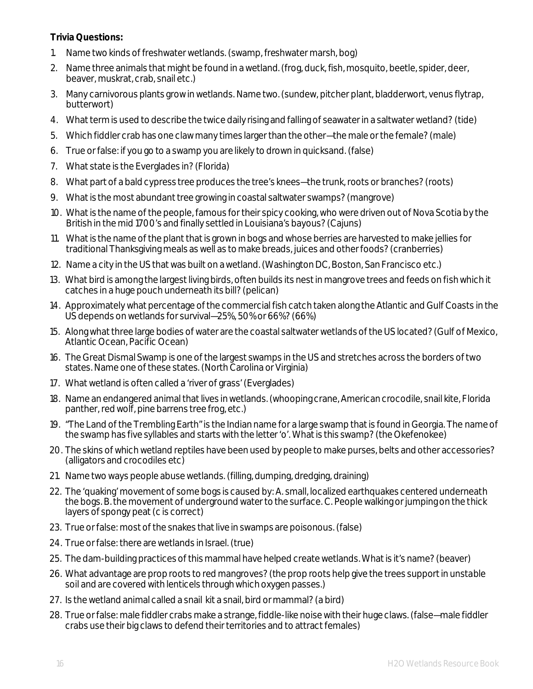# **Trivia Questions:**

- 1. Name two kinds of freshwater wetlands. (swamp, freshwater marsh, bog)
- 2. Name three animals that might be found in a wetland. (frog, duck, fish, mosquito, beetle, spider, deer, beaver, muskrat, crab, snail etc.)
- 3. Many carnivorous plants grow in wetlands. Name two. (sundew, pitcher plant, bladderwort, venus flytrap, butterwort)
- 4. What term is used to describe the twice daily rising and falling of seawater in a saltwater wetland? (tide)
- 5. Which fiddler crab has one claw many times larger than the other—the male or the female? (male)
- 6. True or false: if you go to a swamp you are likely to drown in quicksand. (false)
- 7. What state is the Everglades in? (Florida)
- 8. What part of a bald cypress tree produces the tree's knees—the trunk, roots or branches? (roots)
- 9. What is the most abundant tree growing in coastal saltwater swamps? (mangrove)
- 10. What is the name of the people, famous for their spicy cooking, who were driven out of Nova Scotia by the British in the mid 1700's and finally settled in Louisiana's bayous? (Cajuns)
- 11. What is the name of the plant that is grown in bogs and whose berries are harvested to make jellies for traditional Thanksgiving meals as well as to make breads, juices and other foods? (cranberries)
- 12. Name a city in the US that was built on a wetland. (Washington DC, Boston, San Francisco etc.)
- 13. What bird is among the largest living birds, often builds its nest in mangrove trees and feeds on fish which it catches in a huge pouch underneath its bill? (pelican)
- 14. Approximately what percentage of the commercial fish catch taken along the Atlantic and Gulf Coasts in the US depends on wetlands for survival—25%, 50% or 66%? (66%)
- 15. Along what three large bodies of water are the coastal saltwater wetlands of the US located? (Gulf of Mexico, Atlantic Ocean, Pacific Ocean)
- 16. The Great Dismal Swamp is one of the largest swamps in the US and stretches across the borders of two states. Name one of these states. (North Carolina or Virginia)
- 17. What wetland is often called a 'river of grass' (Everglades)
- 18. Name an endangered animal that lives in wetlands. (whooping crane, American crocodile, snail kite, Florida panther, red wolf, pine barrens tree frog, etc.)
- 19. "The Land of the Trembling Earth" is the Indian name for a large swamp that is found in Georgia. The name of the swamp has five syllables and starts with the letter 'o'. What is this swamp? (the Okefenokee)
- 20. The skins of which wetland reptiles have been used by people to make purses, belts and other accessories? (alligators and crocodiles etc)
- 21. Name two ways people abuse wetlands. (filling, dumping, dredging, draining)
- 22. The 'quaking' movement of some bogs is caused by: A. small, localized earthquakes centered underneath the bogs. B. the movement of underground water to the surface. C. People walking or jumping on the thick layers of spongy peat (c is correct)
- 23. True or false: most of the snakes that live in swamps are poisonous. (false)
- 24. True or false: there are wetlands in Israel. (true)
- 25. The dam-building practices of this mammal have helped create wetlands. What is it's name? (beaver)
- 26. What advantage are prop roots to red mangroves? (the prop roots help give the trees support in unstable soil and are covered with lenticels through which oxygen passes.)
- 27. Is the wetland animal called a snail kit a snail, bird or mammal? (a bird)
- 28. True or false: male fiddler crabs make a strange, fiddle-like noise with their huge claws. (false—male fiddler crabs use their big claws to defend their territories and to attract females)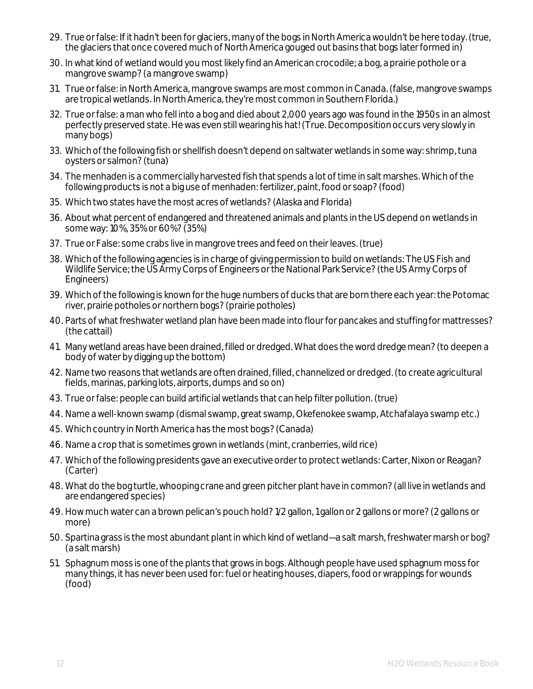- 29. True or false: If it hadn't been for glaciers, many of the bogs in North America wouldn't be here today. (true, the glaciers that once covered much of North America gouged out basins that bogs later formed in)
- 30. In what kind of wetland would you most likely find an American crocodile; a bog, a prairie pothole or a mangrove swamp? (a mangrove swamp)
- 31. True or false: in North America, mangrove swamps are most common in Canada. (false, mangrove swamps are tropical wetlands. In North America, they're most common in Southern Florida.)
- 32. True or false: a man who fell into a bog and died about 2,000 years ago was found in the 1950s in an almost perfectly preserved state. He was even still wearing his hat! (True. Decomposition occurs very slowly in many bogs)
- 33. Which of the following fish or shellfish doesn't depend on saltwater wetlands in some way: shrimp, tuna oysters or salmon? (tuna)
- 34. The menhaden is a commercially harvested fish that spends a lot of time in salt marshes. Which of the following products is not a big use of menhaden: fertilizer, paint, food or soap? (food)
- 35. Which two states have the most acres of wetlands? (Alaska and Florida)
- 36. About what percent of endangered and threatened animals and plants in the US depend on wetlands in some way: 10%, 35% or 60%? (35%)
- 37. True or False: some crabs live in mangrove trees and feed on their leaves. (true)
- 38. Which of the following agencies is in charge of giving permission to build on wetlands: The US Fish and Wildlife Service; the US Army Corps of Engineers or the National Park Service? (the US Army Corps of Engineers)
- 39. Which of the following is known for the huge numbers of ducks that are born there each year: the Potomac river, prairie potholes or northern bogs? (prairie potholes)
- 40. Parts of what freshwater wetland plan have been made into flour for pancakes and stuffing for mattresses? (the cattail)
- 41. Many wetland areas have been drained, filled or dredged. What does the word dredge mean? (to deepen a body of water by digging up the bottom)
- 42. Name two reasons that wetlands are often drained, filled, channelized or dredged. (to create agricultural fields, marinas, parking lots, airports, dumps and so on)
- 43. True or false: people can build artificial wetlands that can help filter pollution. (true)
- 44. Name a well-known swamp (dismal swamp, great swamp, Okefenokee swamp, Atchafalaya swamp etc.)
- 45. Which country in North America has the most bogs? (Canada)
- 46. Name a crop that is sometimes grown in wetlands (mint, cranberries, wild rice)
- 47. Which of the following presidents gave an executive order to protect wetlands: Carter, Nixon or Reagan? (Carter)
- 48. What do the bog turtle, whooping crane and green pitcher plant have in common? (all live in wetlands and are endangered species)
- 49. How much water can a brown pelican's pouch hold? 1/2 gallon, 1 gallon or 2 gallons or more? (2 gallons or more)
- 50. Spartina grass is the most abundant plant in which kind of wetland—a salt marsh, freshwater marsh or bog? (a salt marsh)
- 51. Sphagnum moss is one of the plants that grows in bogs. Although people have used sphagnum moss for many things, it has never been used for: fuel or heating houses, diapers, food or wrappings for wounds (food)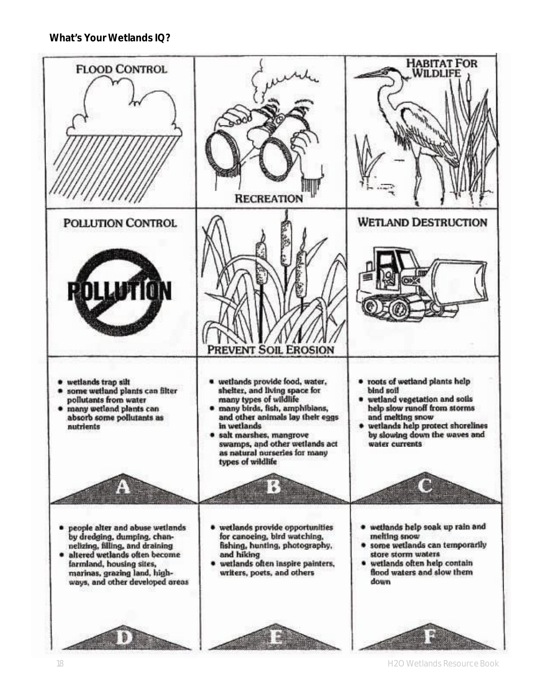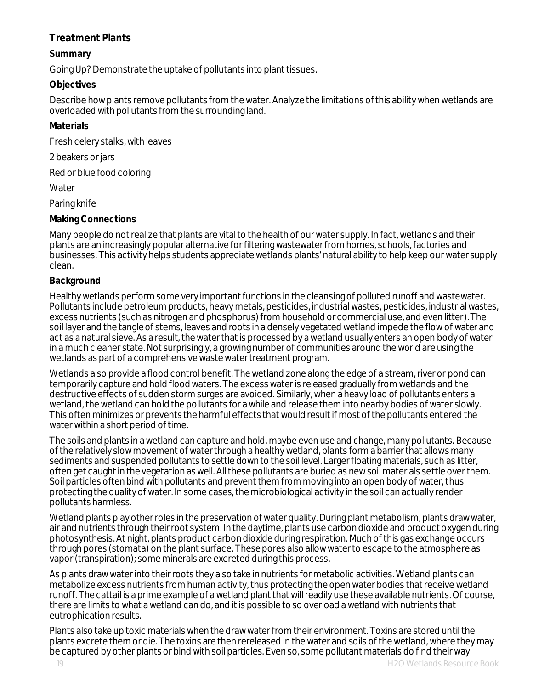# **Treatment Plants**

# **Summary**

Going Up? Demonstrate the uptake of pollutants into plant tissues.

# **Objectives**

Describe how plants remove pollutants from the water. Analyze the limitations of this ability when wetlands are overloaded with pollutants from the surrounding land.

# **Materials**

Fresh celery stalks, with leaves

2 beakers or jars

Red or blue food coloring

**Water** 

Paring knife

# **Making Connections**

Many people do not realize that plants are vital to the health of our water supply. In fact, wetlands and their plants are an increasingly popular alternative for filtering wastewater from homes, schools, factories and businesses. This activity helps students appreciate wetlands plants' natural ability to help keep our water supply clean.

# **Background**

Healthy wetlands perform some very important functions in the cleansing of polluted runoff and wastewater. Pollutants include petroleum products, heavy metals, pesticides, industrial wastes, pesticides, industrial wastes, excess nutrients (such as nitrogen and phosphorus) from household or commercial use, and even litter). The soil layer and the tangle of stems, leaves and roots in a densely vegetated wetland impede the flow of water and act as a natural sieve. As a result, the water that is processed by a wetland usually enters an open body of water in a much cleaner state. Not surprisingly, a growing number of communities around the world are using the wetlands as part of a comprehensive waste water treatment program.

Wetlands also provide a flood control benefit. The wetland zone along the edge of a stream, river or pond can temporarily capture and hold flood waters. The excess water is released gradually from wetlands and the destructive effects of sudden storm surges are avoided. Similarly, when a heavy load of pollutants enters a wetland, the wetland can hold the pollutants for a while and release them into nearby bodies of water slowly. This often minimizes or prevents the harmful effects that would result if most of the pollutants entered the water within a short period of time.

The soils and plants in a wetland can capture and hold, maybe even use and change, many pollutants. Because of the relatively slow movement of water through a healthy wetland, plants form a barrier that allows many sediments and suspended pollutants to settle down to the soil level. Larger floating materials, such as litter, often get caught in the vegetation as well. All these pollutants are buried as new soil materials settle over them. Soil particles often bind with pollutants and prevent them from moving into an open body of water, thus protecting the quality of water. In some cases, the microbiological activity in the soil can actually render pollutants harmless.

Wetland plants play other roles in the preservation of water quality. During plant metabolism, plants draw water, air and nutrients through their root system. In the daytime, plants use carbon dioxide and product oxygen during photosynthesis. At night, plants product carbon dioxide during respiration. Much of this gas exchange occurs through pores (stomata) on the plant surface. These pores also allow water to escape to the atmosphere as vapor (transpiration); some minerals are excreted during this process.

As plants draw water into their roots they also take in nutrients for metabolic activities. Wetland plants can metabolize excess nutrients from human activity, thus protecting the open water bodies that receive wetland runoff. The cattail is a prime example of a wetland plant that will readily use these available nutrients. Of course, there are limits to what a wetland can do, and it is possible to so overload a wetland with nutrients that eutrophication results.

Plants also take up toxic materials when the draw water from their environment. Toxins are stored until the plants excrete them or die. The toxins are then rereleased in the water and soils of the wetland, where they may be captured by other plants or bind with soil particles. Even so, some pollutant materials do find their way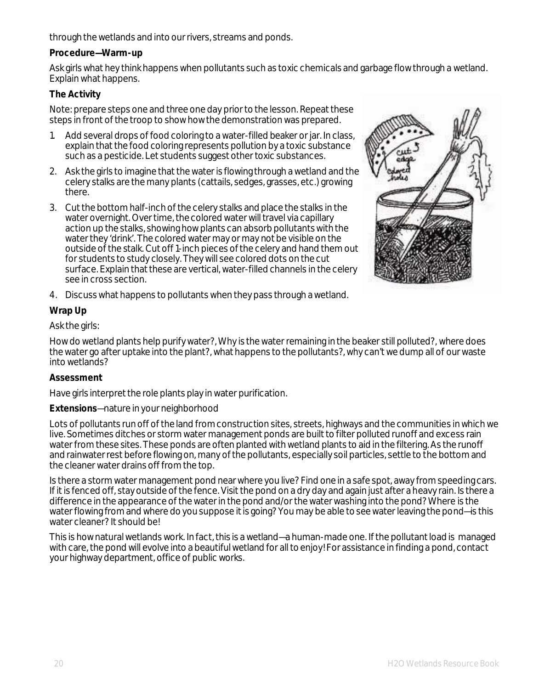through the wetlands and into our rivers, streams and ponds.

# **Procedure—Warm-up**

Ask girls what hey think happens when pollutants such as toxic chemicals and garbage flow through a wetland. Explain what happens.

# **The Activity**

Note: prepare steps one and three one day prior to the lesson. Repeat these steps in front of the troop to show how the demonstration was prepared.

- 1. Add several drops of food coloring to a water-filled beaker or jar. In class, explain that the food coloring represents pollution by a toxic substance such as a pesticide. Let students suggest other toxic substances.
- 2. Ask the girls to imagine that the water is flowing through a wetland and the celery stalks are the many plants (cattails, sedges, grasses, etc.) growing there.
- 3. Cut the bottom half-inch of the celery stalks and place the stalks in the water overnight. Over time, the colored water will travel via capillary action up the stalks, showing how plants can absorb pollutants with the water they 'drink'. The colored water may or may not be visible on the outside of the stalk. Cut off 1-inch pieces of the celery and hand them out for students to study closely. They will see colored dots on the cut surface. Explain that these are vertical, water-filled channels in the celery see in cross section.



4. Discuss what happens to pollutants when they pass through a wetland.

# **Wrap Up**

Ask the girls:

How do wetland plants help purify water?, Why is the water remaining in the beaker still polluted?, where does the water go after uptake into the plant?, what happens to the pollutants?, why can't we dump all of our waste into wetlands?

# **Assessment**

Have girls interpret the role plants play in water purification.

#### **Extensions**—nature in your neighborhood

Lots of pollutants run off of the land from construction sites, streets, highways and the communities in which we live. Sometimes ditches or storm water management ponds are built to filter polluted runoff and excess rain water from these sites. These ponds are often planted with wetland plants to aid in the filtering. As the runoff and rainwater rest before flowing on, many of the pollutants, especially soil particles, settle to the bottom and the cleaner water drains off from the top.

Is there a storm water management pond near where you live? Find one in a safe spot, away from speeding cars. If it is fenced off, stay outside of the fence. Visit the pond on a dry day and again just after a heavy rain. Is there a difference in the appearance of the water in the pond and/or the water washing into the pond? Where is the water flowing from and where do you suppose it is going? You may be able to see water leaving the pond—is this water cleaner? It should be!

This is how natural wetlands work. In fact, this is a wetland—a human-made one. If the pollutant load is managed with care, the pond will evolve into a beautiful wetland for all to enjoy! For assistance in finding a pond, contact your highway department, office of public works.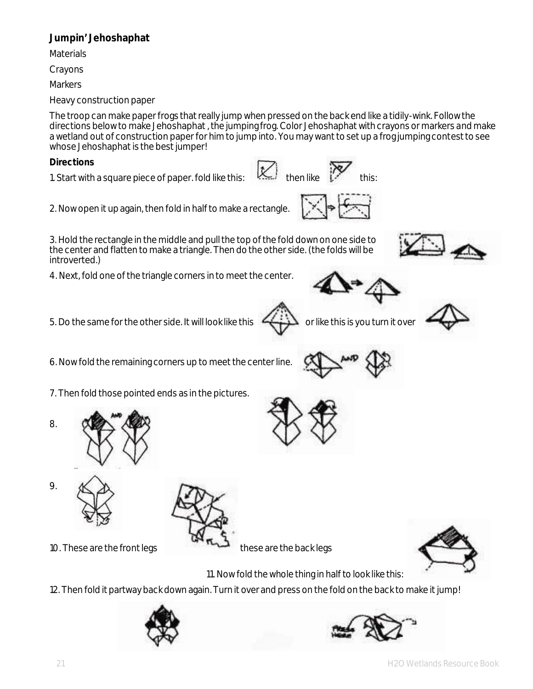# **Jumpin' Jehoshaphat**

**Materials** 

Crayons

Markers

Heavy construction paper

The troop can make paper frogs that really jump when pressed on the back end like a tidily-wink. Follow the directions below to make Jehoshaphat , the jumping frog. Color Jehoshaphat with crayons or markers and make a wetland out of construction paper for him to jump into. You may want to set up a frog jumping contest to see whose Jehoshaphat is the best jumper!

# **Directions**

- 1. Start with a square piece of paper. fold like this:  $\mathbb{K}$  then like this:
- 2. Now open it up again, then fold in half to make a rectangle.

3. Hold the rectangle in the middle and pull the top of the fold down on one side to the center and flatten to make a triangle. Then do the other side. (the folds will be introverted.)

4. Next, fold one of the triangle corners in to meet the center.

5. Do the same for the other side. It will look like this  $\left\{\left(\begin{matrix} 1 & 1 \end{matrix}\right)\right\}$  or like this is you turn it over

6. Now fold the remaining corners up to meet the center line.

7. Then fold those pointed ends as in the pictures.













11. Now fold the whole thing in half to look like this:

12. Then fold it partway back down again. Turn it over and press on the fold on the back to make it jump!











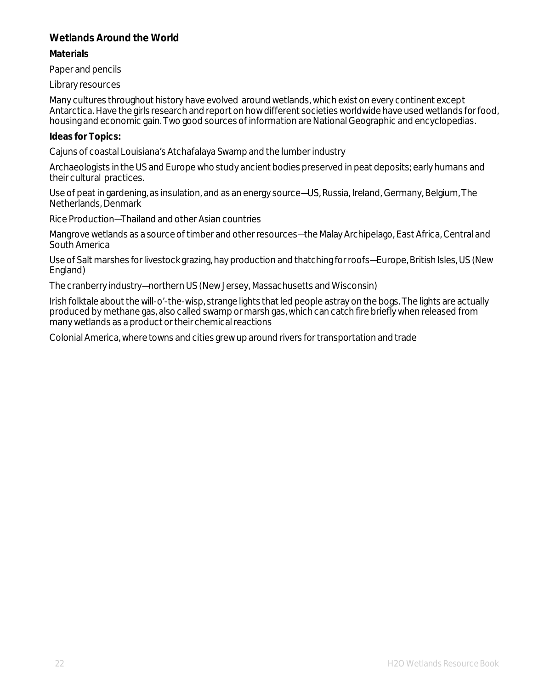# **Wetlands Around the World**

# **Materials**

Paper and pencils

Library resources

Many cultures throughout history have evolved around wetlands, which exist on every continent except Antarctica. Have the girls research and report on how different societies worldwide have used wetlands for food, housing and economic gain. Two good sources of information are National Geographic and encyclopedias.

# **Ideas for Topics:**

Cajuns of coastal Louisiana's Atchafalaya Swamp and the lumber industry

Archaeologists in the US and Europe who study ancient bodies preserved in peat deposits; early humans and their cultural practices.

Use of peat in gardening, as insulation, and as an energy source—US, Russia, Ireland, Germany, Belgium, The Netherlands, Denmark

Rice Production—Thailand and other Asian countries

Mangrove wetlands as a source of timber and other resources—the Malay Archipelago, East Africa, Central and South America

Use of Salt marshes for livestock grazing, hay production and thatching for roofs—Europe, British Isles, US (New England)

The cranberry industry—northern US (New Jersey, Massachusetts and Wisconsin)

Irish folktale about the will-o'-the-wisp, strange lights that led people astray on the bogs. The lights are actually produced by methane gas, also called swamp or marsh gas, which can catch fire briefly when released from many wetlands as a product or their chemical reactions

Colonial America, where towns and cities grew up around rivers for transportation and trade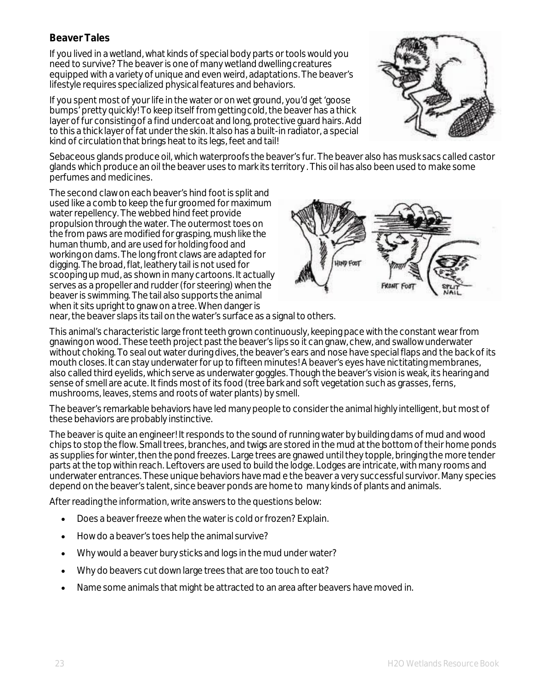# **Beaver Tales**

If you lived in a wetland, what kinds of special body parts or tools would you need to survive? The beaver is one of many wetland dwelling creatures equipped with a variety of unique and even weird, adaptations. The beaver's lifestyle requires specialized physical features and behaviors.

If you spent most of your life in the water or on wet ground, you'd get 'goose bumps' pretty quickly! To keep itself from getting cold, the beaver has a thick layer of fur consisting of a find undercoat and long, protective guard hairs. Add to this a thick layer of fat under the skin. It also has a built-in radiator, a special kind of circulation that brings heat to its legs, feet and tail!



Sebaceous glands produce oil, which waterproofs the beaver's fur. The beaver also has musk sacs called castor glands which produce an oil the beaver uses to mark its territory . This oil has also been used to make some perfumes and medicines.

The second claw on each beaver's hind foot is split and used like a comb to keep the fur groomed for maximum water repellency. The webbed hind feet provide propulsion through the water. The outermost toes on the from paws are modified for grasping, mush like the human thumb, and are used for holding food and working on dams. The long front claws are adapted for digging. The broad, flat, leathery tail is not used for scooping up mud, as shown in many cartoons. It actually serves as a propeller and rudder (for steering) when the beaver is swimming. The tail also supports the animal when it sits upright to gnaw on a tree. When danger is



near, the beaver slaps its tail on the water's surface as a signal to others.

This animal's characteristic large front teeth grown continuously, keeping pace with the constant wear from gnawing on wood. These teeth project past the beaver's lips so it can gnaw, chew, and swallow underwater without choking. To seal out water during dives, the beaver's ears and nose have special flaps and the back of its mouth closes. It can stay underwater for up to fifteen minutes! A beaver's eyes have nictitating membranes, also called third eyelids, which serve as underwater goggles. Though the beaver's vision is weak, its hearing and sense of smell are acute. It finds most of its food (tree bark and soft vegetation such as grasses, ferns, mushrooms, leaves, stems and roots of water plants) by smell.

The beaver's remarkable behaviors have led many people to consider the animal highly intelligent, but most of these behaviors are probably instinctive.

The beaver is quite an engineer! It responds to the sound of running water by building dams of mud and wood chips to stop the flow. Small trees, branches, and twigs are stored in the mud at the bottom of their home ponds as supplies for winter, then the pond freezes. Large trees are gnawed until they topple, bringing the more tender parts at the top within reach. Leftovers are used to build the lodge. Lodges are intricate, with many rooms and underwater entrances. These unique behaviors have mad e the beaver a very successful survivor. Many species depend on the beaver's talent, since beaver ponds are home to many kinds of plants and animals.

After reading the information, write answers to the questions below:

- Does a beaver freeze when the water is cold or frozen? Explain.
- How do a beaver's toes help the animal survive?
- Why would a beaver bury sticks and logs in the mud under water?
- Why do beavers cut down large trees that are too touch to eat?
- Name some animals that might be attracted to an area after beavers have moved in.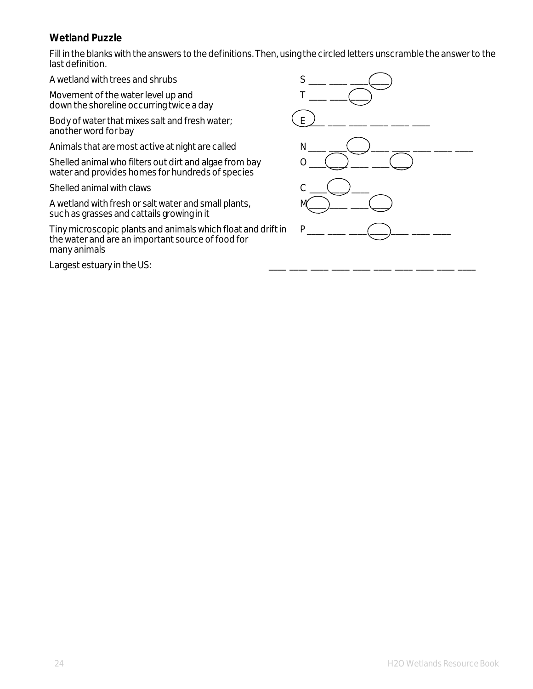# **Wetland Puzzle**

Fill in the blanks with the answers to the definitions. Then, using the circled letters unscramble the answer to the last definition.

A wetland with trees and shrubs  $\sim$  5

Movement of the water level up and T down the shoreline occurring twice a day

Body of water that mixes salt and fresh water;  $\left( E \right)$ another word for bay

Animals that are most active at night are called N

Shelled animal who filters out dirt and algae from bay  $\hskip1cm$   $\hskip1cm$   $\hskip1cm$   $\hskip1cm$   $\hskip1cm$   $\hskip1cm$   $\hskip1cm$   $\hskip1cm$   $\hskip1cm$   $\hskip1cm$   $\hskip1cm$   $\hskip1cm$   $\hskip1cm$   $\hskip1cm$   $\hskip1cm$   $\hskip1cm$   $\hskip1cm$   $\hskip1cm$   $\hskip1cm$   $\hskip1cm$   $\hskip1cm$ water and provides homes for hundreds of species

Shelled animal with claws C  $\sim$ 

A wetland with fresh or salt water and small plants, such as grasses and cattails growing in it

Tiny microscopic plants and animals which float and drift in P the water and are an important source of food for many animals

Largest estuary in the US:

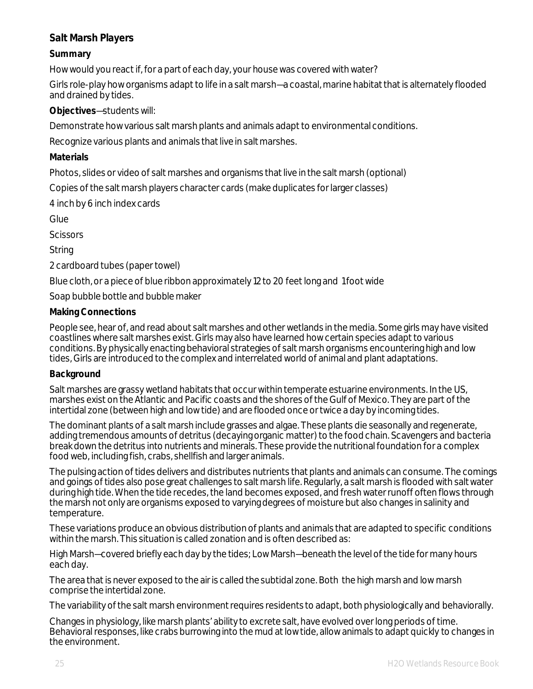# **Salt Marsh Players**

# **Summary**

How would you react if, for a part of each day, your house was covered with water?

Girls role-play how organisms adapt to life in a salt marsh—a coastal, marine habitat that is alternately flooded and drained by tides.

**Objectives**—students will:

Demonstrate how various salt marsh plants and animals adapt to environmental conditions.

Recognize various plants and animals that live in salt marshes.

# **Materials**

Photos, slides or video of salt marshes and organisms that live in the salt marsh (optional)

Copies of the salt marsh players character cards (make duplicates for larger classes)

4 inch by 6 inch index cards

**Glue** 

**Scissors** 

String

2 cardboard tubes (paper towel)

Blue cloth, or a piece of blue ribbon approximately 12 to 20 feet long and 1 foot wide

Soap bubble bottle and bubble maker

# **Making Connections**

People see, hear of, and read about salt marshes and other wetlands in the media. Some girls may have visited coastlines where salt marshes exist. Girls may also have learned how certain species adapt to various conditions. By physically enacting behavioral strategies of salt marsh organisms encountering high and low tides, Girls are introduced to the complex and interrelated world of animal and plant adaptations.

# **Background**

Salt marshes are grassy wetland habitats that occur within temperate estuarine environments. In the US, marshes exist on the Atlantic and Pacific coasts and the shores of the Gulf of Mexico. They are part of the intertidal zone (between high and low tide) and are flooded once or twice a day by incoming tides.

The dominant plants of a salt marsh include grasses and algae. These plants die seasonally and regenerate, adding tremendous amounts of detritus (decaying organic matter) to the food chain. Scavengers and bacteria break down the detritus into nutrients and minerals. These provide the nutritional foundation for a complex food web, including fish, crabs, shellfish and larger animals.

The pulsing action of tides delivers and distributes nutrients that plants and animals can consume. The comings and goings of tides also pose great challenges to salt marsh life. Regularly, a salt marsh is flooded with salt water during high tide. When the tide recedes, the land becomes exposed, and fresh water runoff often flows through the marsh not only are organisms exposed to varying degrees of moisture but also changes in salinity and temperature.

These variations produce an obvious distribution of plants and animals that are adapted to specific conditions within the marsh. This situation is called zonation and is often described as:

High Marsh—covered briefly each day by the tides; Low Marsh—beneath the level of the tide for many hours each day.

The area that is never exposed to the air is called the subtidal zone. Both the high marsh and low marsh comprise the intertidal zone.

The variability of the salt marsh environment requires residents to adapt, both physiologically and behaviorally.

Changes in physiology, like marsh plants' ability to excrete salt, have evolved over long periods of time. Behavioral responses, like crabs burrowing into the mud at low tide, allow animals to adapt quickly to changes in the environment.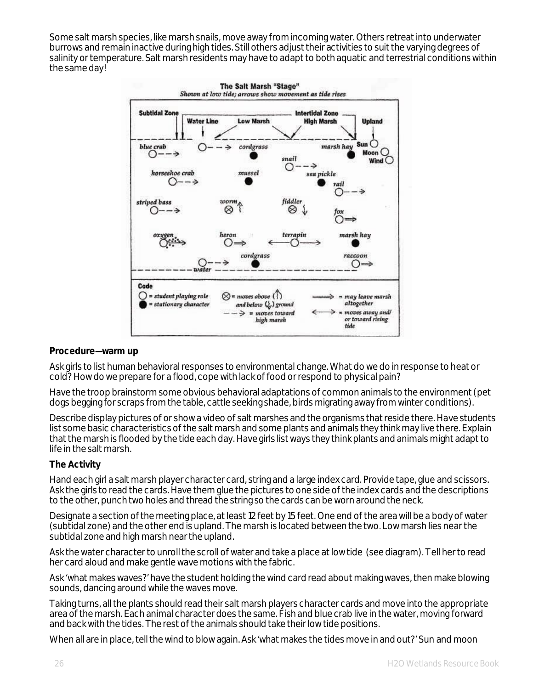Some salt marsh species, like marsh snails, move away from incoming water. Others retreat into underwater burrows and remain inactive during high tides. Still others adjust their activities to suit the varying degrees of salinity or temperature. Salt marsh residents may have to adapt to both aquatic and terrestrial conditions within the same day!



# **Procedure—warm up**

Ask girls to list human behavioral responses to environmental change. What do we do in response to heat or cold? How do we prepare for a flood, cope with lack of food or respond to physical pain?

Have the troop brainstorm some obvious behavioral adaptations of common animals to the environment (pet dogs begging for scraps from the table, cattle seeking shade, birds migrating away from winter conditions).

Describe display pictures of or show a video of salt marshes and the organisms that reside there. Have students list some basic characteristics of the salt marsh and some plants and animals they think may live there. Explain that the marsh is flooded by the tide each day. Have girls list ways they think plants and animals might adapt to life in the salt marsh.

# **The Activity**

Hand each girl a salt marsh player character card, string and a large index card. Provide tape, glue and scissors. Ask the girls to read the cards. Have them glue the pictures to one side of the index cards and the descriptions to the other, punch two holes and thread the string so the cards can be worn around the neck.

Designate a section of the meeting place, at least 12 feet by 15 feet. One end of the area will be a body of water (subtidal zone) and the other end is upland. The marsh is located between the two. Low marsh lies near the subtidal zone and high marsh near the upland.

Ask the water character to unroll the scroll of water and take a place at low tide (see diagram). Tell her to read her card aloud and make gentle wave motions with the fabric.

Ask 'what makes waves?' have the student holding the wind card read about making waves, then make blowing sounds, dancing around while the waves move.

Taking turns, all the plants should read their salt marsh players character cards and move into the appropriate area of the marsh. Each animal character does the same. Fish and blue crab live in the water, moving forward and back with the tides. The rest of the animals should take their low tide positions.

When all are in place, tell the wind to blow again. Ask 'what makes the tides move in and out?' Sun and moon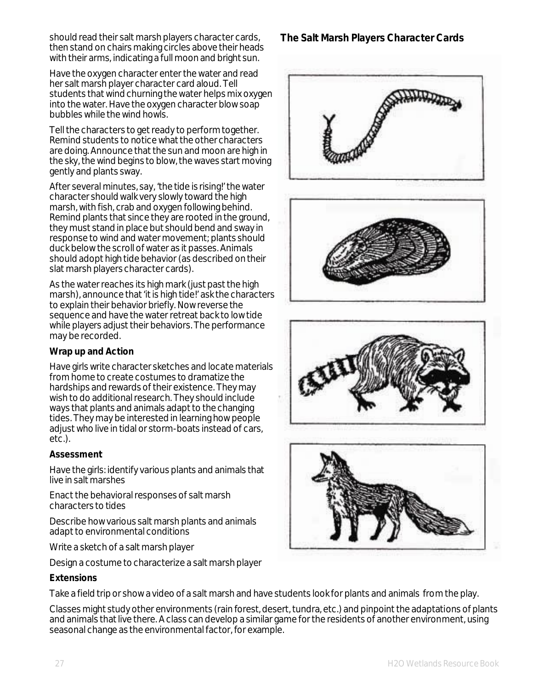should read their salt marsh players character cards, then stand on chairs making circles above their heads with their arms, indicating a full moon and bright sun.

Have the oxygen character enter the water and read her salt marsh player character card aloud. Tell students that wind churning the water helps mix oxygen into the water. Have the oxygen character blow soap bubbles while the wind howls.

Tell the characters to get ready to perform together. Remind students to notice what the other characters are doing. Announce that the sun and moon are high in the sky, the wind begins to blow, the waves start moving gently and plants sway.

After several minutes, say, 'the tide is rising!' the water character should walk very slowly toward the high marsh, with fish, crab and oxygen following behind. Remind plants that since they are rooted in the ground, they must stand in place but should bend and sway in response to wind and water movement; plants should duck below the scroll of water as it passes. Animals should adopt high tide behavior (as described on their slat marsh players character cards).

As the water reaches its high mark (just past the high marsh), announce that 'it is high tide!' ask the characters to explain their behavior briefly. Now reverse the sequence and have the water retreat back to low tide while players adjust their behaviors. The performance may be recorded.

# **Wrap up and Action**

Have girls write character sketches and locate materials from home to create costumes to dramatize the hardships and rewards of their existence. They may wish to do additional research. They should include ways that plants and animals adapt to the changing tides. They may be interested in learning how people adiust who live in tidal or storm-boats instead of cars, etc.).

# **Assessment**

Have the girls: identify various plants and animals that live in salt marshes

Enact the behavioral responses of salt marsh characters to tides

Describe how various salt marsh plants and animals adapt to environmental conditions

Write a sketch of a salt marsh player

Design a costume to characterize a salt marsh player

# **Extensions**

Take a field trip or show a video of a salt marsh and have students look for plants and animals from the play.

Classes might study other environments (rain forest, desert, tundra, etc.) and pinpoint the adaptations of plants and animals that live there. A class can develop a similar game for the residents of another environment, using seasonal change as the environmental factor, for example.

# **The Salt Marsh Players Character Cards**





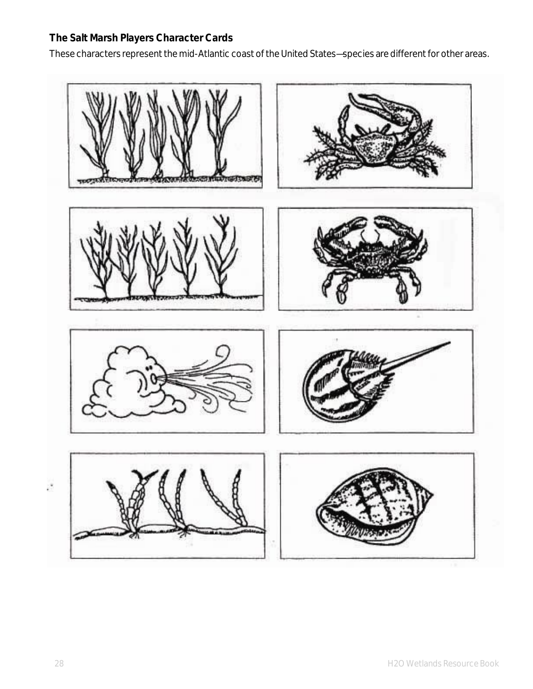# **The Salt Marsh Players Character Cards**

These characters represent the mid-Atlantic coast of the United States—species are different for other areas.